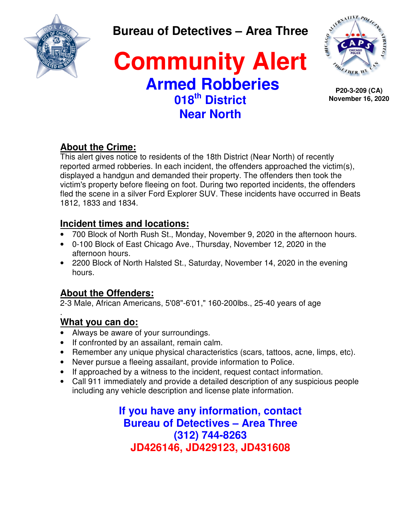

**Bureau of Detectives – Area Three** 

# **Community Alert Armed Robberies 018th District Near North**



**P20-3-209 (CA) November 16, 2020**

## **About the Crime:**

This alert gives notice to residents of the 18th District (Near North) of recently reported armed robberies. In each incident, the offenders approached the victim(s), displayed a handgun and demanded their property. The offenders then took the victim's property before fleeing on foot. During two reported incidents, the offenders fled the scene in a silver Ford Explorer SUV. These incidents have occurred in Beats 1812, 1833 and 1834.

### **Incident times and locations:**

- 700 Block of North Rush St., Monday, November 9, 2020 in the afternoon hours.
- 0-100 Block of East Chicago Ave., Thursday, November 12, 2020 in the afternoon hours.
- 2200 Block of North Halsted St., Saturday, November 14, 2020 in the evening hours.

# **About the Offenders:**

2-3 Male, African Americans, 5'08"-6'01," 160-200lbs., 25-40 years of age

#### . **What you can do:**

- Always be aware of your surroundings.
- If confronted by an assailant, remain calm.
- Remember any unique physical characteristics (scars, tattoos, acne, limps, etc).
- Never pursue a fleeing assailant, provide information to Police.
- If approached by a witness to the incident, request contact information.
- Call 911 immediately and provide a detailed description of any suspicious people including any vehicle description and license plate information.

**If you have any information, contact Bureau of Detectives – Area Three (312) 744-8263 JD426146, JD429123, JD431608**